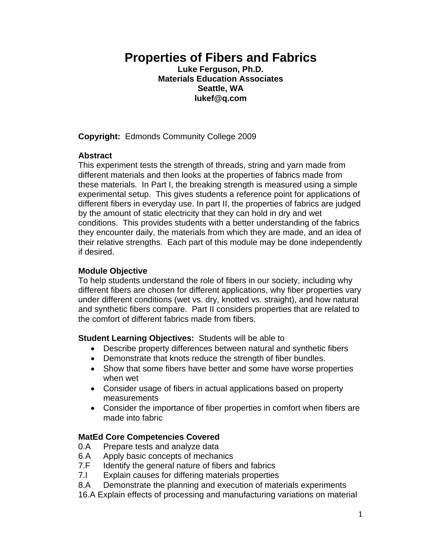# **Properties of Fibers and Fabrics**

**Luke Ferguson, Ph.D. Materials Education Associates Seattle, WA lukef@q.com** 

**Copyright:** Edmonds Community College 2009

#### **Abstract**

This experiment tests the strength of threads, string and yarn made from different materials and then looks at the properties of fabrics made from these materials. In Part I, the breaking strength is measured using a simple experimental setup. This gives students a reference point for applications of different fibers in everyday use. In part II, the properties of fabrics are judged by the amount of static electricity that they can hold in dry and wet conditions. This provides students with a better understanding of the fabrics they encounter daily, the materials from which they are made, and an idea of their relative strengths. Each part of this module may be done independently if desired.

## **Module Objective**

To help students understand the role of fibers in our society, including why different fibers are chosen for different applications, why fiber properties vary under different conditions (wet vs. dry, knotted vs. straight), and how natural and synthetic fibers compare. Part II considers properties that are related to the comfort of different fabrics made from fibers.

**Student Learning Objectives:** Students will be able to

- Describe property differences between natural and synthetic fibers
- Demonstrate that knots reduce the strength of fiber bundles.
- Show that some fibers have better and some have worse properties when wet
- Consider usage of fibers in actual applications based on property measurements
- Consider the importance of fiber properties in comfort when fibers are made into fabric

#### **MatEd Core Competencies Covered**

- 0.A Prepare tests and analyze data
- 6.A Apply basic concepts of mechanics
- 7.F Identify the general nature of fibers and fabrics
- 7.I Explain causes for differing materials properties
- 8.A Demonstrate the planning and execution of materials experiments
- 16.A Explain effects of processing and manufacturing variations on material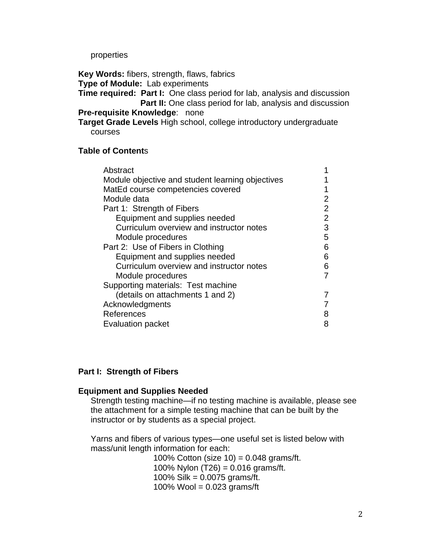properties

**Key Words:** fibers, strength, flaws, fabrics

**Type of Module:** Lab experiments

**Time required: Part I:** One class period for lab, analysis and discussion **Part II:** One class period for lab, analysis and discussion **Pre-requisite Knowledge**: none

**Target Grade Levels** High school, college introductory undergraduate courses

#### **Table of Content**s

| Abstract                                         |               |
|--------------------------------------------------|---------------|
| Module objective and student learning objectives |               |
| MatEd course competencies covered                |               |
| Module data                                      | 2             |
| Part 1: Strength of Fibers                       | $\mathcal{P}$ |
| Equipment and supplies needed                    | 2             |
| Curriculum overview and instructor notes         | 3             |
| Module procedures                                | 5             |
| Part 2: Use of Fibers in Clothing                | 6             |
| Equipment and supplies needed                    | 6             |
| Curriculum overview and instructor notes         | 6             |
| Module procedures                                |               |
| Supporting materials: Test machine               |               |
| (details on attachments 1 and 2)                 |               |
| Acknowledgments                                  |               |
| References                                       |               |
| <b>Evaluation packet</b>                         | 8             |
|                                                  |               |

#### **Part I: Strength of Fibers**

#### **Equipment and Supplies Needed**

 Strength testing machine—if no testing machine is available, please see the attachment for a simple testing machine that can be built by the instructor or by students as a special project.

 Yarns and fibers of various types—one useful set is listed below with mass/unit length information for each:

> 100% Cotton (size 10) = 0.048 grams/ft. 100% Nylon  $(T26) = 0.016$  grams/ft. 100% Silk = 0.0075 grams/ft. 100% Wool =  $0.023$  grams/ft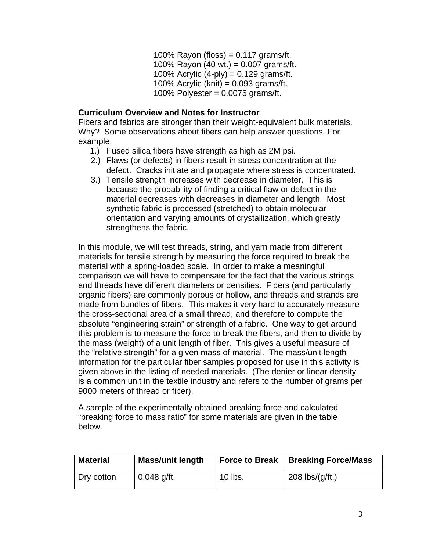100% Rayon (floss) =  $0.117$  grams/ft. 100% Rayon (40 wt.) = 0.007 grams/ft. 100% Acrylic  $(4-p)y$  = 0.129 grams/ft. 100% Acrylic (knit) =  $0.093$  grams/ft. 100% Polyester =  $0.0075$  grams/ft.

## **Curriculum Overview and Notes for Instructor**

Fibers and fabrics are stronger than their weight-equivalent bulk materials. Why? Some observations about fibers can help answer questions, For example,

- 1.) Fused silica fibers have strength as high as 2M psi.
- 2.) Flaws (or defects) in fibers result in stress concentration at the defect. Cracks initiate and propagate where stress is concentrated.
- 3.) Tensile strength increases with decrease in diameter. This is because the probability of finding a critical flaw or defect in the material decreases with decreases in diameter and length. Most synthetic fabric is processed (stretched) to obtain molecular orientation and varying amounts of crystallization, which greatly strengthens the fabric.

In this module, we will test threads, string, and yarn made from different materials for tensile strength by measuring the force required to break the material with a spring-loaded scale. In order to make a meaningful comparison we will have to compensate for the fact that the various strings and threads have different diameters or densities. Fibers (and particularly organic fibers) are commonly porous or hollow, and threads and strands are made from bundles of fibers. This makes it very hard to accurately measure the cross-sectional area of a small thread, and therefore to compute the absolute "engineering strain" or strength of a fabric. One way to get around this problem is to measure the force to break the fibers, and then to divide by the mass (weight) of a unit length of fiber. This gives a useful measure of the "relative strength" for a given mass of material. The mass/unit length information for the particular fiber samples proposed for use in this activity is given above in the listing of needed materials. (The denier or linear density is a common unit in the textile industry and refers to the number of grams per 9000 meters of thread or fiber).

A sample of the experimentally obtained breaking force and calculated "breaking force to mass ratio" for some materials are given in the table below.

| <b>Material</b> | <b>Mass/unit length</b> |         | <b>Force to Break   Breaking Force/Mass</b> |
|-----------------|-------------------------|---------|---------------------------------------------|
| Dry cotton      | $0.048$ g/ft.           | 10 lbs. | 208 $\frac{\log}{q}$ /ft.)                  |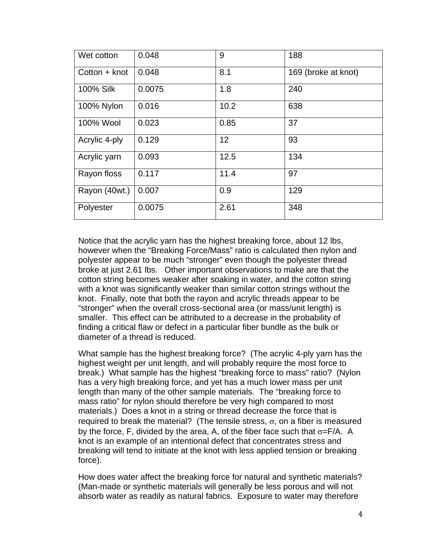| Wet cotton      | 0.048  | 9    | 188                 |
|-----------------|--------|------|---------------------|
| $Cotton + knot$ | 0.048  | 8.1  | 169 (broke at knot) |
| 100% Silk       | 0.0075 | 1.8  | 240                 |
| 100% Nylon      | 0.016  | 10.2 | 638                 |
| 100% Wool       | 0.023  | 0.85 | 37                  |
| Acrylic 4-ply   | 0.129  | 12   | 93                  |
| Acrylic yarn    | 0.093  | 12.5 | 134                 |
| Rayon floss     | 0.117  | 11.4 | 97                  |
| Rayon (40wt.)   | 0.007  | 0.9  | 129                 |
| Polyester       | 0.0075 | 2.61 | 348                 |

Notice that the acrylic yarn has the highest breaking force, about 12 lbs, however when the "Breaking Force/Mass" ratio is calculated then nylon and polyester appear to be much "stronger" even though the polyester thread broke at just 2.61 lbs. Other important observations to make are that the cotton string becomes weaker after soaking in water, and the cotton string with a knot was significantly weaker than similar cotton strings without the knot. Finally, note that both the rayon and acrylic threads appear to be "stronger" when the overall cross-sectional area (or mass/unit length) is smaller. This effect can be attributed to a decrease in the probability of finding a critical flaw or defect in a particular fiber bundle as the bulk or diameter of a thread is reduced.

What sample has the highest breaking force? (The acrylic 4-ply yarn has the highest weight per unit length, and will probably require the most force to break.) What sample has the highest "breaking force to mass" ratio? (Nylon has a very high breaking force, and yet has a much lower mass per unit length than many of the other sample materials. The "breaking force to mass ratio" for nylon should therefore be very high compared to most materials.) Does a knot in a string or thread decrease the force that is required to break the material? (The tensile stress,  $σ$ , on a fiber is measured by the force, F, divided by the area, A, of the fiber face such that  $\sigma = F/A$ . A knot is an example of an intentional defect that concentrates stress and breaking will tend to initiate at the knot with less applied tension or breaking force).

How does water affect the breaking force for natural and synthetic materials? (Man-made or synthetic materials will generally be less porous and will not absorb water as readily as natural fabrics. Exposure to water may therefore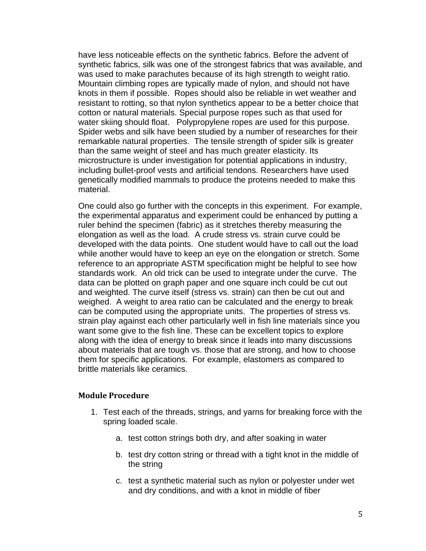have less noticeable effects on the synthetic fabrics. Before the advent of synthetic fabrics, silk was one of the strongest fabrics that was available, and was used to make parachutes because of its high strength to weight ratio. Mountain climbing ropes are typically made of nylon, and should not have knots in them if possible. Ropes should also be reliable in wet weather and resistant to rotting, so that nylon synthetics appear to be a better choice that cotton or natural materials. Special purpose ropes such as that used for water skiing should float. Polypropylene ropes are used for this purpose. Spider webs and silk have been studied by a number of researches for their remarkable natural properties. The tensile strength of spider silk is greater than the same weight of steel and has much greater elasticity. Its microstructure is under investigation for potential applications in industry, including bullet-proof vests and artificial tendons. Researchers have used genetically modified mammals to produce the proteins needed to make this material.

One could also go further with the concepts in this experiment. For example, the experimental apparatus and experiment could be enhanced by putting a ruler behind the specimen (fabric) as it stretches thereby measuring the elongation as well as the load. A crude stress vs. strain curve could be developed with the data points. One student would have to call out the load while another would have to keep an eye on the elongation or stretch. Some reference to an appropriate ASTM specification might be helpful to see how standards work. An old trick can be used to integrate under the curve. The data can be plotted on graph paper and one square inch could be cut out and weighted. The curve itself (stress vs. strain) can then be cut out and weighed. A weight to area ratio can be calculated and the energy to break can be computed using the appropriate units. The properties of stress vs. strain play against each other particularly well in fish line materials since you want some give to the fish line. These can be excellent topics to explore along with the idea of energy to break since it leads into many discussions about materials that are tough vs. those that are strong, and how to choose them for specific applications. For example, elastomers as compared to brittle materials like ceramics.

#### **Module Procedure**

- 1. Test each of the threads, strings, and yarns for breaking force with the spring loaded scale.
	- a. test cotton strings both dry, and after soaking in water
	- b. test dry cotton string or thread with a tight knot in the middle of the string
	- c. test a synthetic material such as nylon or polyester under wet and dry conditions, and with a knot in middle of fiber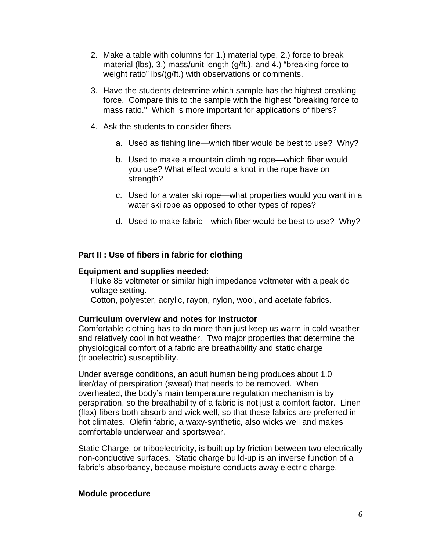- 2. Make a table with columns for 1.) material type, 2.) force to break material (lbs), 3.) mass/unit length (g/ft.), and 4.) "breaking force to weight ratio" lbs/(g/ft.) with observations or comments.
- 3. Have the students determine which sample has the highest breaking force. Compare this to the sample with the highest "breaking force to mass ratio." Which is more important for applications of fibers?
- 4. Ask the students to consider fibers
	- a. Used as fishing line—which fiber would be best to use? Why?
	- b. Used to make a mountain climbing rope—which fiber would you use? What effect would a knot in the rope have on strength?
	- c. Used for a water ski rope—what properties would you want in a water ski rope as opposed to other types of ropes?
	- d. Used to make fabric—which fiber would be best to use? Why?

## **Part II : Use of fibers in fabric for clothing**

## **Equipment and supplies needed:**

Fluke 85 voltmeter or similar high impedance voltmeter with a peak dc voltage setting.

Cotton, polyester, acrylic, rayon, nylon, wool, and acetate fabrics.

#### **Curriculum overview and notes for instructor**

Comfortable clothing has to do more than just keep us warm in cold weather and relatively cool in hot weather. Two major properties that determine the physiological comfort of a fabric are breathability and static charge (triboelectric) susceptibility.

Under average conditions, an adult human being produces about 1.0 liter/day of perspiration (sweat) that needs to be removed. When overheated, the body's main temperature regulation mechanism is by perspiration, so the breathability of a fabric is not just a comfort factor. Linen (flax) fibers both absorb and wick well, so that these fabrics are preferred in hot climates. Olefin fabric, a waxy-synthetic, also wicks well and makes comfortable underwear and sportswear.

Static Charge, or triboelectricity, is built up by friction between two electrically non-conductive surfaces. Static charge build-up is an inverse function of a fabric's absorbancy, because moisture conducts away electric charge.

#### **Module procedure**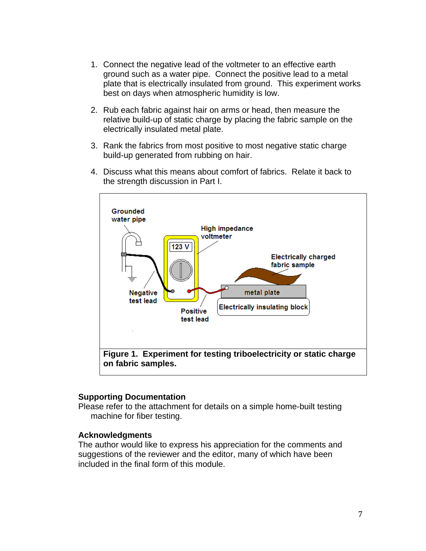- 1. Connect the negative lead of the voltmeter to an effective earth ground such as a water pipe. Connect the positive lead to a metal plate that is electrically insulated from ground. This experiment works best on days when atmospheric humidity is low.
- 2. Rub each fabric against hair on arms or head, then measure the relative build-up of static charge by placing the fabric sample on the electrically insulated metal plate.
- 3. Rank the fabrics from most positive to most negative static charge build-up generated from rubbing on hair.
- 4. Discuss what this means about comfort of fabrics. Relate it back to the strength discussion in Part I.



#### **Supporting Documentation**

Please refer to the attachment for details on a simple home-built testing machine for fiber testing.

#### **Acknowledgments**

The author would like to express his appreciation for the comments and suggestions of the reviewer and the editor, many of which have been included in the final form of this module.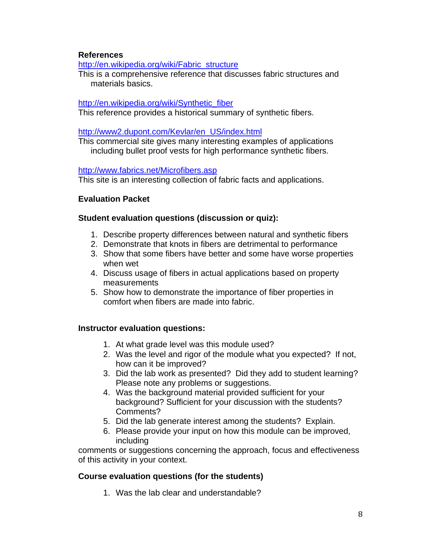## **References**

[http://en.wikipedia.org/wiki/Fabric\\_structure](http://en.wikipedia.org/wiki/Fabric_structure)

This is a comprehensive reference that discusses fabric structures and materials basics.

## [http://en.wikipedia.org/wiki/Synthetic\\_fiber](http://en.wikipedia.org/wiki/Synthetic_fiber)

This reference provides a historical summary of synthetic fibers.

## [http://www2.dupont.com/Kevlar/en\\_US/index.html](http://www2.dupont.com/Kevlar/en_US/index.html)

This commercial site gives many interesting examples of applications including bullet proof vests for high performance synthetic fibers.

## <http://www.fabrics.net/Microfibers.asp>

This site is an interesting collection of fabric facts and applications.

# **Evaluation Packet**

## **Student evaluation questions (discussion or quiz):**

- 1. Describe property differences between natural and synthetic fibers
- 2. Demonstrate that knots in fibers are detrimental to performance
- 3. Show that some fibers have better and some have worse properties when wet
- 4. Discuss usage of fibers in actual applications based on property measurements
- 5. Show how to demonstrate the importance of fiber properties in comfort when fibers are made into fabric.

## **Instructor evaluation questions:**

- 1. At what grade level was this module used?
- 2. Was the level and rigor of the module what you expected? If not, how can it be improved?
- 3. Did the lab work as presented? Did they add to student learning? Please note any problems or suggestions.
- 4. Was the background material provided sufficient for your background? Sufficient for your discussion with the students? Comments?
- 5. Did the lab generate interest among the students? Explain.
- 6. Please provide your input on how this module can be improved, including

comments or suggestions concerning the approach, focus and effectiveness of this activity in your context.

## **Course evaluation questions (for the students)**

1. Was the lab clear and understandable?